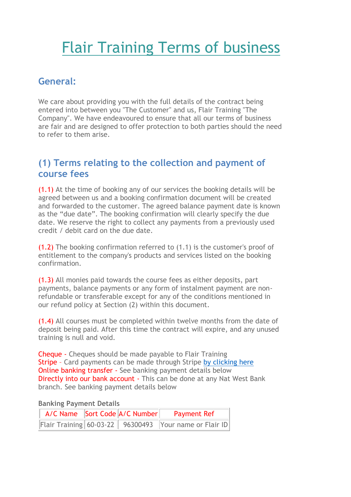# Flair Training Terms of business

# **General:**

We care about providing you with the full details of the contract being entered into between you "The Customer" and us, Flair Training "The Company". We have endeavoured to ensure that all our terms of business are fair and are designed to offer protection to both parties should the need to refer to them arise.

#### **(1) Terms relating to the collection and payment of course fees**

(1.1) At the time of booking any of our services the booking details will be agreed between us and a booking confirmation document will be created and forwarded to the customer. The agreed balance payment date is known as the "due date". The booking confirmation will clearly specify the due date. We reserve the right to collect any payments from a previously used credit / debit card on the due date.

(1.2) The booking confirmation referred to (1.1) is the customer's proof of entitlement to the company's products and services listed on the booking confirmation.

(1.3) All monies paid towards the course fees as either deposits, part payments, balance payments or any form of instalment payment are nonrefundable or transferable except for any of the conditions mentioned in our refund policy at Section (2) within this document.

(1.4) All courses must be completed within twelve months from the date of deposit being paid. After this time the contract will expire, and any unused training is null and void.

Cheque - Cheques should be made payable to Flair Training Stripe - Card payments can be made through Stripe [by clicking here](https://eu.jotform.com/213493942435359) **Online banking transfer -** See banking payment details below Directly into our bank account - This can be done at any Nat West Bank branch. See banking payment details below

#### **Banking Payment Details**

|  | A/C Name Sort Code A/C Number Payment Ref              |
|--|--------------------------------------------------------|
|  | Flair Training 60-03-22 96300493 Your name or Flair ID |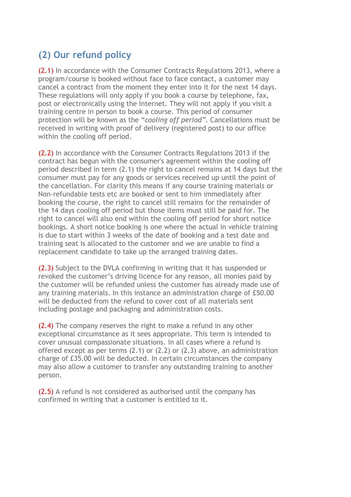# **(2) Our refund policy**

(2.1) In accordance with the Consumer Contracts Regulations 2013, where a program/course is booked without face to face contact, a customer may cancel a contract from the moment they enter into it for the next 14 days. These regulations will only apply if you book a course by telephone, fax, post or electronically using the Internet. They will not apply if you visit a training centre in person to book a course. This period of consumer protection will be known as the "*cooling off period"*. Cancellations must be received in writing with proof of delivery (registered post) to our office within the cooling off period.

(2.2) In accordance with the Consumer Contracts Regulations 2013 if the contract has begun with the consumer's agreement within the cooling off period described in term (2.1) the right to cancel remains at 14 days but the consumer must pay for any goods or services received up until the point of the cancellation. For clarity this means if any course training materials or Non-refundable tests etc are booked or sent to him immediately after booking the course, the right to cancel still remains for the remainder of the 14 days cooling off period but those items must still be paid for. The right to cancel will also end within the cooling off period for short notice bookings. A short notice booking is one where the actual in vehicle training is due to start within 3 weeks of the date of booking and a test date and training seat is allocated to the customer and we are unable to find a replacement candidate to take up the arranged training dates.

(2.3) Subject to the DVLA confirming in writing that it has suspended or revoked the customer's driving licence for any reason, all monies paid by the customer will be refunded unless the customer has already made use of any training materials. In this instance an administration charge of £50.00 will be deducted from the refund to cover cost of all materials sent including postage and packaging and administration costs.

(2.4) The company reserves the right to make a refund in any other exceptional circumstance as it sees appropriate. This term is intended to cover unusual compassionate situations. In all cases where a refund is offered except as per terms (2.1) or (2.2) or (2.3) above, an administration charge of £35.00 will be deducted. In certain circumstances the company may also allow a customer to transfer any outstanding training to another person.

(2.5) A refund is not considered as authorised until the company has confirmed in writing that a customer is entitled to it.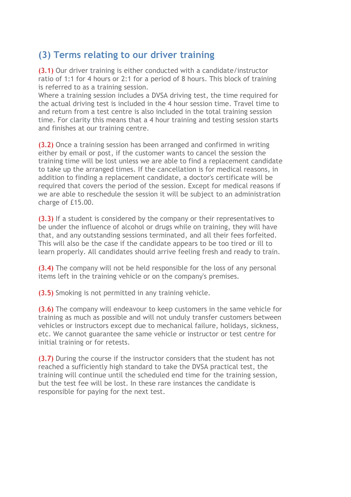## **(3) Terms relating to our driver training**

(3.1) Our driver training is either conducted with a candidate/instructor ratio of 1:1 for 4 hours or 2:1 for a period of 8 hours. This block of training is referred to as a training session.

Where a training session includes a DVSA driving test, the time required for the actual driving test is included in the 4 hour session time. Travel time to and return from a test centre is also included in the total training session time. For clarity this means that a 4 hour training and testing session starts and finishes at our training centre.

(3.2) Once a training session has been arranged and confirmed in writing either by email or post, if the customer wants to cancel the session the training time will be lost unless we are able to find a replacement candidate to take up the arranged times. If the cancellation is for medical reasons, in addition to finding a replacement candidate, a doctor's certificate will be required that covers the period of the session. Except for medical reasons if we are able to reschedule the session it will be subject to an administration charge of £15.00.

(3.3) If a student is considered by the company or their representatives to be under the influence of alcohol or drugs while on training, they will have that, and any outstanding sessions terminated, and all their fees forfeited. This will also be the case if the candidate appears to be too tired or ill to learn properly. All candidates should arrive feeling fresh and ready to train.

(3.4) The company will not be held responsible for the loss of any personal items left in the training vehicle or on the company's premises.

(3.5) Smoking is not permitted in any training vehicle.

(3.6) The company will endeavour to keep customers in the same vehicle for training as much as possible and will not unduly transfer customers between vehicles or instructors except due to mechanical failure, holidays, sickness, etc. We cannot guarantee the same vehicle or instructor or test centre for initial training or for retests.

(3.7) During the course if the instructor considers that the student has not reached a sufficiently high standard to take the DVSA practical test, the training will continue until the scheduled end time for the training session, but the test fee will be lost. In these rare instances the candidate is responsible for paying for the next test.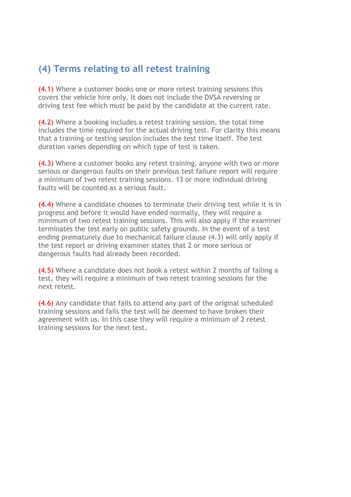# **(4) Terms relating to all retest training**

(4.1) Where a customer books one or more retest training sessions this covers the vehicle hire only. It does not include the DVSA reversing or driving test fee which must be paid by the candidate at the current rate.

(4.2) Where a booking includes a retest training session, the total time includes the time required for the actual driving test. For clarity this means that a training or testing session includes the test time itself. The test duration varies depending on which type of test is taken.

(4.3) Where a customer books any retest training, anyone with two or more serious or dangerous faults on their previous test failure report will require a minimum of two retest training sessions. 13 or more individual driving faults will be counted as a serious fault.

(4.4) Where a candidate chooses to terminate their driving test while it is in progress and before it would have ended normally, they will require a minimum of two retest training sessions. This will also apply if the examiner terminates the test early on public safety grounds. In the event of a test ending prematurely due to mechanical failure clause (4.3) will only apply if the test report or driving examiner states that 2 or more serious or dangerous faults had already been recorded.

(4.5) Where a candidate does not book a retest within 2 months of failing a test, they will require a minimum of two retest training sessions for the next retest.

(4.6) Any candidate that fails to attend any part of the original scheduled training sessions and fails the test will be deemed to have broken their agreement with us. In this case they will require a minimum of 2 retest training sessions for the next test.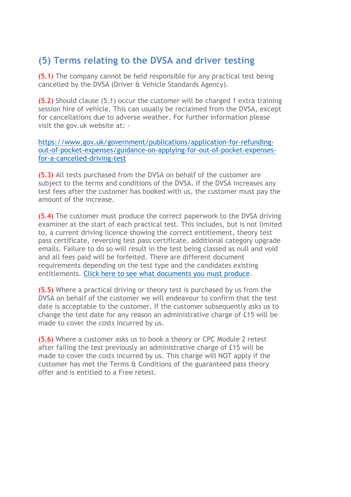# **(5) Terms relating to the DVSA and driver testing**

(5.1) The company cannot be held responsible for any practical test being cancelled by the DVSA (Driver & Vehicle Standards Agency).

(5.2) Should clause (5.1) occur the customer will be charged 1 extra training session hire of vehicle. This can usually be reclaimed from the DVSA, except for cancellations due to adverse weather. For further information please visit the gov.uk website at: -

[https://www.gov.uk/government/publications/application-for-refunding](https://www.gov.uk/government/publications/application-for-refunding-out-of-pocket-expenses/guidance-on-applying-for-out-of-pocket-expenses-for-a-cancelled-driving-test)[out-of-pocket-expenses/guidance-on-applying-for-out-of-pocket-expenses](https://www.gov.uk/government/publications/application-for-refunding-out-of-pocket-expenses/guidance-on-applying-for-out-of-pocket-expenses-for-a-cancelled-driving-test)[for-a-cancelled-driving-test](https://www.gov.uk/government/publications/application-for-refunding-out-of-pocket-expenses/guidance-on-applying-for-out-of-pocket-expenses-for-a-cancelled-driving-test)

(5.3) All tests purchased from the DVSA on behalf of the customer are subject to the terms and conditions of the DVSA. If the DVSA increases any test fees after the customer has booked with us, the customer must pay the amount of the increase.

(5.4) The customer must produce the correct paperwork to the DVSA driving examiner at the start of each practical test. This includes, but is not limited to, a current driving licence showing the correct entitlement, theory test pass certificate, reversing test pass certificate, additional category upgrade emails. Failure to do so will result in the test being classed as null and void and all fees paid will be forfeited. There are different document requirements depending on the test type and the candidates existing entitlements. [Click here to see what documents you must produce.](https://form.jotform.com/220022725313339)

(5.5) Where a practical driving or theory test is purchased by us from the DVSA on behalf of the customer we will endeavour to confirm that the test date is acceptable to the customer. If the customer subsequently asks us to change the test date for any reason an administrative charge of £15 will be made to cover the costs incurred by us.

(5.6) Where a customer asks us to book a theory or CPC Module 2 retest after failing the test previously an administrative charge of £15 will be made to cover the costs incurred by us. This charge will NOT apply if the customer has met the Terms & Conditions of the guaranteed pass theory offer and is entitled to a Free retest.